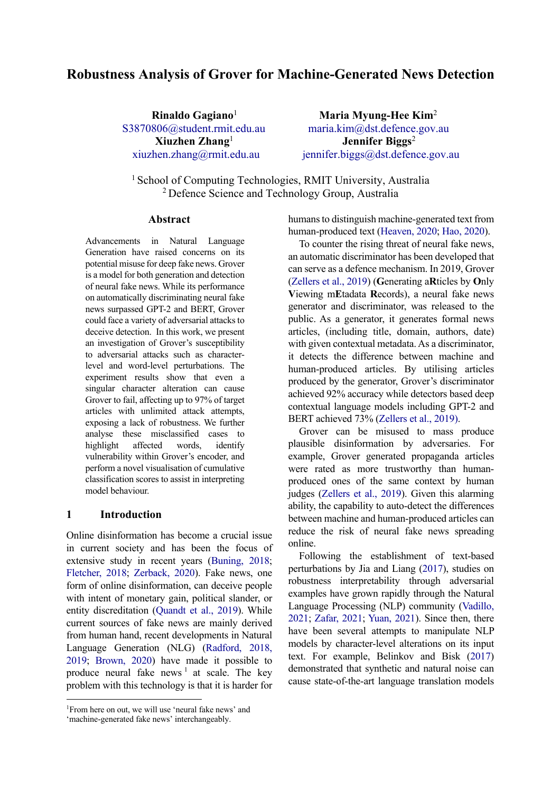## **Robustness Analysis of Grover for Machine-Generated News Detection**

**Rinaldo Gagiano**<sup>1</sup> Maria Myung-Hee Kim<sup>2</sup> S3870806@student.rmit.edu.au maria.kim@dst.defence.gov.au  **Xiuzhen Zhang**<sup>1</sup> **Jennifer Biggs**<sup>2</sup> xiuzhen.zhang@rmit.edu.au jennifer.biggs@dst.defence.gov.au

<sup>1</sup> School of Computing Technologies, RMIT University, Australia 2 Defence Science and Technology Group, Australia

#### **Abstract**

Advancements in Natural Language Generation have raised concerns on its potential misuse for deep fake news. Grover is a model for both generation and detection of neural fake news. While its performance on automatically discriminating neural fake news surpassed GPT-2 and BERT, Grover could face a variety of adversarial attacks to deceive detection. In this work, we present an investigation of Grover's susceptibility to adversarial attacks such as characterlevel and word-level perturbations. The experiment results show that even a singular character alteration can cause Grover to fail, affecting up to 97% of target articles with unlimited attack attempts, exposing a lack of robustness. We further analyse these misclassified cases to highlight affected words, identify vulnerability within Grover's encoder, and perform a novel visualisation of cumulative classification scores to assist in interpreting model behaviour.

## **1 Introduction**

Online disinformation has become a crucial issue in current society and has been the focus of extensive study in recent years (Buning, 2018; Fletcher, 2018; Zerback, 2020). Fake news, one form of online disinformation, can deceive people with intent of monetary gain, political slander, or entity discreditation (Quandt et al., 2019). While current sources of fake news are mainly derived from human hand, recent developments in Natural Language Generation (NLG) (Radford, 2018, 2019; Brown, 2020) have made it possible to produce neural fake news  $\frac{1}{1}$  at scale. The key problem with this technology is that it is harder for humans to distinguish machine-generated text from human-produced text (Heaven, 2020; Hao, 2020).

To counter the rising threat of neural fake news, an automatic discriminator has been developed that can serve as a defence mechanism. In 2019, Grover (Zellers et al., 2019) (**G**enerating a**R**ticles by **O**nly **V**iewing m**E**tadata **R**ecords), a neural fake news generator and discriminator, was released to the public. As a generator, it generates formal news articles, (including title, domain, authors, date) with given contextual metadata. As a discriminator, it detects the difference between machine and human-produced articles. By utilising articles produced by the generator, Grover's discriminator achieved 92% accuracy while detectors based deep contextual language models including GPT-2 and BERT achieved 73% (Zellers et al., 2019).

Grover can be misused to mass produce plausible disinformation by adversaries. For example, Grover generated propaganda articles were rated as more trustworthy than humanproduced ones of the same context by human judges (Zellers et al., 2019). Given this alarming ability, the capability to auto-detect the differences between machine and human-produced articles can reduce the risk of neural fake news spreading online.

Following the establishment of text-based perturbations by Jia and Liang (2017), studies on robustness interpretability through adversarial examples have grown rapidly through the Natural Language Processing (NLP) community (Vadillo, 2021; Zafar, 2021; Yuan, 2021). Since then, there have been several attempts to manipulate NLP models by character-level alterations on its input text. For example, Belinkov and Bisk (2017) demonstrated that synthetic and natural noise can cause state-of-the-art language translation models

<sup>1</sup>From here on out, we will use 'neural fake news' and

<sup>&#</sup>x27;machine-generated fake news' interchangeably.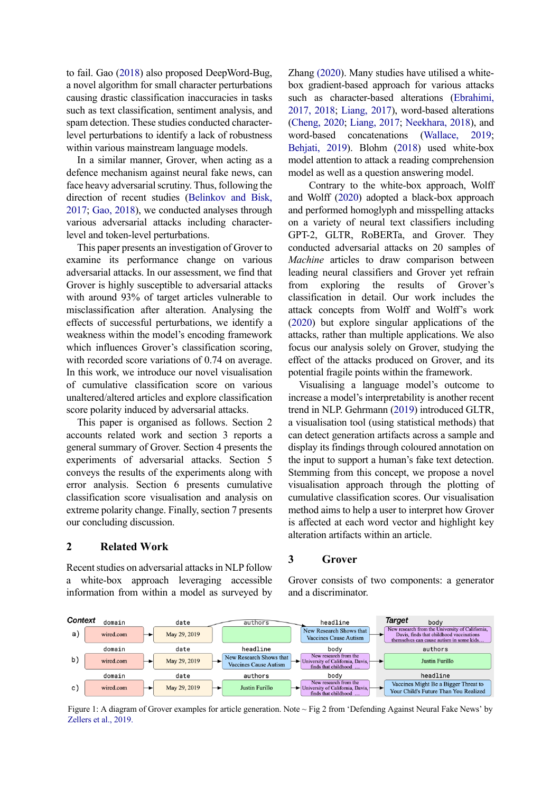to fail. Gao (2018) also proposed DeepWord-Bug, a novel algorithm for small character perturbations causing drastic classification inaccuracies in tasks such as text classification, sentiment analysis, and spam detection. These studies conducted characterlevel perturbations to identify a lack of robustness within various mainstream language models.

In a similar manner, Grover, when acting as a defence mechanism against neural fake news, can face heavy adversarial scrutiny. Thus, following the direction of recent studies (Belinkov and Bisk, 2017; Gao, 2018), we conducted analyses through various adversarial attacks including characterlevel and token-level perturbations.

This paper presents an investigation of Grover to examine its performance change on various adversarial attacks. In our assessment, we find that Grover is highly susceptible to adversarial attacks with around 93% of target articles vulnerable to misclassification after alteration. Analysing the effects of successful perturbations, we identify a weakness within the model's encoding framework which influences Grover's classification scoring, with recorded score variations of 0.74 on average. In this work, we introduce our novel visualisation of cumulative classification score on various unaltered/altered articles and explore classification score polarity induced by adversarial attacks.

This paper is organised as follows. Section 2 accounts related work and section 3 reports a general summary of Grover. Section 4 presents the experiments of adversarial attacks. Section 5 conveys the results of the experiments along with error analysis. Section 6 presents cumulative classification score visualisation and analysis on extreme polarity change. Finally, section 7 presents our concluding discussion.

#### **2 Related Work**

Recent studies on adversarial attacks in NLP follow a white-box approach leveraging accessible information from within a model as surveyed by Zhang (2020). Many studies have utilised a whitebox gradient-based approach for various attacks such as character-based alterations (Ebrahimi, 2017, 2018; Liang, 2017), word-based alterations (Cheng, 2020; Liang, 2017; Neekhara, 2018), and word-based concatenations (Wallace, 2019; Behjati, 2019). Blohm (2018) used white-box model attention to attack a reading comprehension model as well as a question answering model.

 Contrary to the white-box approach, Wolff and Wolff (2020) adopted a black-box approach and performed homoglyph and misspelling attacks on a variety of neural text classifiers including GPT-2, GLTR, RoBERTa, and Grover. They conducted adversarial attacks on 20 samples of *Machine* articles to draw comparison between leading neural classifiers and Grover yet refrain from exploring the results of Grover's classification in detail. Our work includes the attack concepts from Wolff and Wolff's work (2020) but explore singular applications of the attacks, rather than multiple applications. We also focus our analysis solely on Grover, studying the effect of the attacks produced on Grover, and its potential fragile points within the framework.

Visualising a language model's outcome to increase a model's interpretability is another recent trend in NLP. Gehrmann (2019) introduced GLTR, a visualisation tool (using statistical methods) that can detect generation artifacts across a sample and display its findings through coloured annotation on the input to support a human's fake text detection. Stemming from this concept, we propose a novel visualisation approach through the plotting of cumulative classification scores. Our visualisation method aims to help a user to interpret how Grover is affected at each word vector and highlight key alteration artifacts within an article.

Grover consists of two components: a generator

## **3 Grover**

and a discriminator.



Figure 1: A diagram of Grover examples for article generation. Note ~ Fig 2 from 'Defending Against Neural Fake News' by Zellers et al., 2019.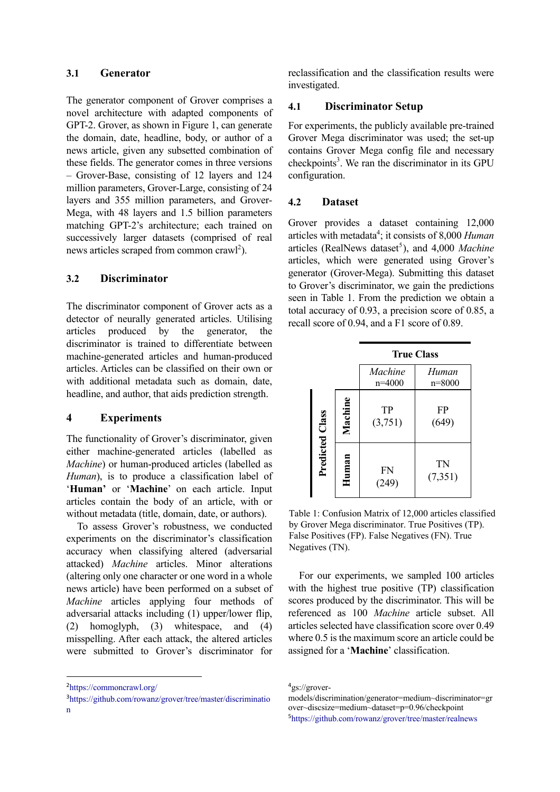## **3.1 Generator**

The generator component of Grover comprises a novel architecture with adapted components of GPT-2. Grover, as shown in Figure 1, can generate the domain, date, headline, body, or author of a news article, given any subsetted combination of these fields. The generator comes in three versions – Grover-Base, consisting of 12 layers and 124 million parameters, Grover-Large, consisting of 24 layers and 355 million parameters, and Grover-Mega, with 48 layers and 1.5 billion parameters matching GPT-2's architecture; each trained on successively larger datasets (comprised of real news articles scraped from common crawl<sup>2</sup>).

## **3.2 Discriminator**

The discriminator component of Grover acts as a detector of neurally generated articles. Utilising articles produced by the generator, the discriminator is trained to differentiate between machine-generated articles and human-produced articles. Articles can be classified on their own or with additional metadata such as domain, date, headline, and author, that aids prediction strength.

#### **4 Experiments**

The functionality of Grover's discriminator, given either machine-generated articles (labelled as *Machine*) or human-produced articles (labelled as *Human*), is to produce a classification label of '**Human'** or '**Machine**' on each article. Input articles contain the body of an article, with or without metadata (title, domain, date, or authors).

To assess Grover's robustness, we conducted experiments on the discriminator's classification accuracy when classifying altered (adversarial attacked) *Machine* articles. Minor alterations (altering only one character or one word in a whole news article) have been performed on a subset of *Machine* articles applying four methods of adversarial attacks including (1) upper/lower flip, (2) homoglyph, (3) whitespace, and (4) misspelling. After each attack, the altered articles were submitted to Grover's discriminator for

reclassification and the classification results were investigated.

#### **4.1 Discriminator Setup**

For experiments, the publicly available pre-trained Grover Mega discriminator was used; the set-up contains Grover Mega config file and necessary checkpoints 3 . We ran the discriminator in its GPU configuration.

#### **4.2 Dataset**

Grover provides a dataset containing 12,000 articles with metadata<sup>4</sup>; it consists of 8,000 *Human* articles (RealNews dataset<sup>5</sup>), and 4,000 *Machine* articles, which were generated using Grover's generator (Grover-Mega). Submitting this dataset to Grover's discriminator, we gain the predictions seen in Table 1. From the prediction we obtain a total accuracy of 0.93, a precision score of 0.85, a recall score of 0.94, and a F1 score of 0.89.

|                 |         | <b>True Class</b>   |                      |  |
|-----------------|---------|---------------------|----------------------|--|
|                 |         | Machine<br>$n=4000$ | Human<br>$n = 8000$  |  |
| Predicted Class | Machine | TP<br>(3,751)       | FP<br>(649)          |  |
|                 | Human   | <b>FN</b><br>(249)  | <b>TN</b><br>(7,351) |  |

Table 1: Confusion Matrix of 12,000 articles classified by Grover Mega discriminator. True Positives (TP). False Positives (FP). False Negatives (FN). True Negatives (TN).

For our experiments, we sampled 100 articles with the highest true positive (TP) classification scores produced by the discriminator. This will be referenced as 100 *Machine* article subset. All articles selected have classification score over 0.49 where 0.5 is the maximum score an article could be assigned for a '**Machine**' classification.

<sup>2</sup> https://commoncrawl.org/

<sup>3</sup> https://github.com/rowanz/grover/tree/master/discriminatio n

<sup>4</sup> gs://grover-

models/discrimination/generator=medium~discriminator=gr over~discsize=medium~dataset=p=0.96/checkpoint 5 https://github.com/rowanz/grover/tree/master/realnews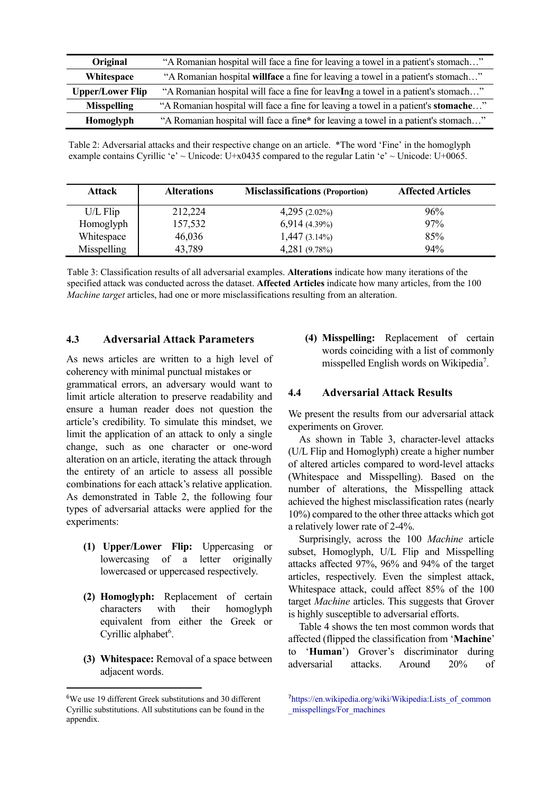| Original                | "A Romanian hospital will face a fine for leaving a towel in a patient's stomach"  |
|-------------------------|------------------------------------------------------------------------------------|
| <b>Whitespace</b>       | "A Romanian hospital willface a fine for leaving a towel in a patient's stomach"   |
| <b>Upper/Lower Flip</b> | "A Romanian hospital will face a fine for leavIng a towel in a patient's stomach"  |
| <b>Misspelling</b>      | "A Romanian hospital will face a fine for leaving a towel in a patient's stomache" |
| Homoglyph               | "A Romanian hospital will face a fine* for leaving a towel in a patient's stomach" |

Table 2: Adversarial attacks and their respective change on an article. \*The word 'Fine' in the homoglyph example contains Cyrillic 'e' ~ Unicode: U+x0435 compared to the regular Latin 'e' ~ Unicode: U+0065.

| <b>Attack</b> | <b>Alterations</b> | <b>Misclassifications (Proportion)</b> | <b>Affected Articles</b> |
|---------------|--------------------|----------------------------------------|--------------------------|
| U/L Flip      | 212,224            | $4,295(2.02\%)$                        | 96%                      |
| Homoglyph     | 157,532            | $6,914(4.39\%)$                        | 97%                      |
| Whitespace    | 46,036             | $1,447(3.14\%)$                        | 85%                      |
| Misspelling   | 43,789             | 4,281 (9.78%)                          | 94%                      |

Table 3: Classification results of all adversarial examples. **Alterations** indicate how many iterations of the specified attack was conducted across the dataset. **Affected Articles** indicate how many articles, from the 100 *Machine target* articles, had one or more misclassifications resulting from an alteration.

#### **4.3 Adversarial Attack Parameters**

As news articles are written to a high level of coherency with minimal punctual mistakes or

grammatical errors, an adversary would want to limit article alteration to preserve readability and ensure a human reader does not question the article's credibility. To simulate this mindset, we limit the application of an attack to only a single change, such as one character or one-word alteration on an article, iterating the attack through the entirety of an article to assess all possible combinations for each attack's relative application. As demonstrated in Table 2, the following four types of adversarial attacks were applied for the experiments:

- **(1) Upper/Lower Flip:** Uppercasing or lowercasing of a letter originally lowercased or uppercased respectively.
- **(2) Homoglyph:** Replacement of certain characters with their homoglyph equivalent from either the Greek or Cyrillic alphabet<sup>6</sup>.
- **(3) Whitespace:** Removal of a space between adjacent words.

**(4) Misspelling:** Replacement of certain words coinciding with a list of commonly misspelled English words on Wikipedia<sup>7</sup>.

#### **4.4 Adversarial Attack Results**

We present the results from our adversarial attack experiments on Grover.

As shown in Table 3, character-level attacks (U/L Flip and Homoglyph) create a higher number of altered articles compared to word-level attacks (Whitespace and Misspelling). Based on the number of alterations, the Misspelling attack achieved the highest misclassification rates (nearly 10%) compared to the other three attacks which got a relatively lower rate of 2-4%.

Surprisingly, across the 100 *Machine* article subset, Homoglyph, U/L Flip and Misspelling attacks affected 97%, 96% and 94% of the target articles, respectively. Even the simplest attack, Whitespace attack, could affect 85% of the 100 target *Machine* articles. This suggests that Grover is highly susceptible to adversarial efforts.

Table 4 shows the ten most common words that affected (flipped the classification from '**Machine**' to '**Human**') Grover's discriminator during adversarial attacks. Around 20% of

<sup>6</sup> We use 19 different Greek substitutions and 30 different Cyrillic substitutions. All substitutions can be found in the appendix.

<sup>7</sup>https://en.wikipedia.org/wiki/Wikipedia:Lists of common misspellings/For machines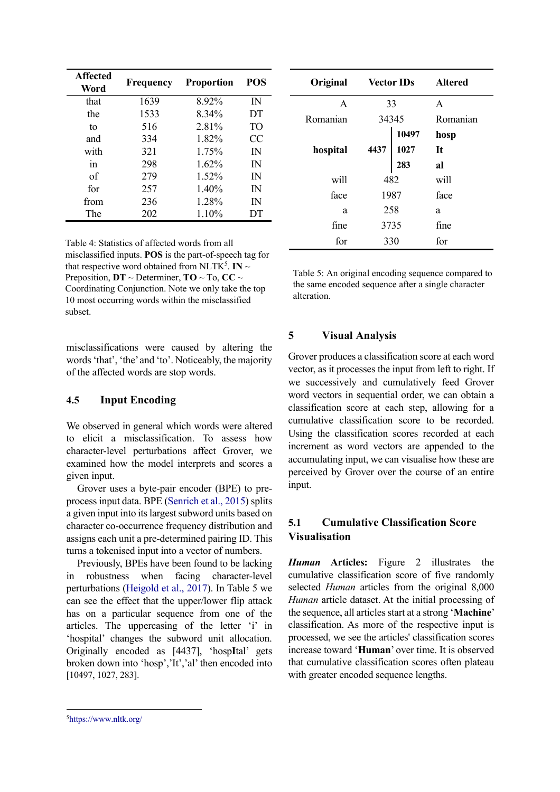| <b>Affected</b><br>Word | Frequency | <b>Proportion</b> | <b>POS</b>   |
|-------------------------|-----------|-------------------|--------------|
| that                    | 1639      | 8.92%             | $\mathbb{N}$ |
| the                     | 1533      | 8.34%             | DT           |
| tο                      | 516       | 2.81%             | TO           |
| and                     | 334       | 1.82%             | CC           |
| with                    | 321       | 1.75%             | IN           |
| in                      | 298       | 1.62%             | $\mathbb{N}$ |
| of                      | 279       | 1.52%             | $\mathbb{N}$ |
| for                     | 257       | 1.40%             | IN           |
| from                    | 236       | 1.28%             | IN           |
| The                     | 202       | 1.10%             | DТ           |

Table 4: Statistics of affected words from all misclassified inputs. **POS** is the part-of-speech tag for that respective word obtained from NLTK<sup>5</sup>. **IN**  $\sim$ Preposition,  $DT \sim$  Determiner,  $TO \sim To$ ,  $CC \sim$ Coordinating Conjunction. Note we only take the top 10 most occurring words within the misclassified subset.

misclassifications were caused by altering the words'that', 'the' and 'to'. Noticeably, the majority of the affected words are stop words.

## **4.5 Input Encoding**

We observed in general which words were altered to elicit a misclassification. To assess how character-level perturbations affect Grover, we examined how the model interprets and scores a given input.

Grover uses a byte-pair encoder (BPE) to preprocess input data. BPE (Senrich et al., 2015) splits a given input into its largest subword units based on character co-occurrence frequency distribution and assigns each unit a pre-determined pairing ID. This turns a tokenised input into a vector of numbers.

Previously, BPEs have been found to be lacking in robustness when facing character-level perturbations (Heigold et al., 2017). In Table 5 we can see the effect that the upper/lower flip attack has on a particular sequence from one of the articles. The uppercasing of the letter 'i' in 'hospital' changes the subword unit allocation. Originally encoded as [4437], 'hosp**I**tal' gets broken down into 'hosp','It','al' then encoded into [10497, 1027, 283].

| Original     | <b>Vector IDs</b> |                                                           | <b>Altered</b> |
|--------------|-------------------|-----------------------------------------------------------|----------------|
| $\mathsf{A}$ | 33                |                                                           | $\mathsf{A}$   |
| Romanian     | 34345             |                                                           | Romanian       |
|              |                   | $4437 \begin{array}{ l} 10497 \\ 1027 \\ 283 \end{array}$ | hosp           |
| hospital     |                   |                                                           | It             |
|              |                   |                                                           | al             |
| will         | 482               |                                                           | will           |
| face         | 1987              |                                                           | face           |
| a            | 258               |                                                           | a              |
| fine         | 3735              |                                                           | fine           |
| for          | 330               |                                                           | for            |

Table 5: An original encoding sequence compared to the same encoded sequence after a single character alteration.

## **5 Visual Analysis**

Grover produces a classification score at each word vector, as it processes the input from left to right. If we successively and cumulatively feed Grover word vectors in sequential order, we can obtain a classification score at each step, allowing for a cumulative classification score to be recorded. Using the classification scores recorded at each increment as word vectors are appended to the accumulating input, we can visualise how these are perceived by Grover over the course of an entire input.

## **5.1 Cumulative Classification Score Visualisation**

*Human* **Articles:** Figure 2 illustrates the cumulative classification score of five randomly selected *Human* articles from the original 8,000 *Human* article dataset. At the initial processing of the sequence, all articles start at a strong '**Machine**' classification. As more of the respective input is processed, we see the articles' classification scores increase toward '**Human**' over time. It is observed that cumulative classification scores often plateau with greater encoded sequence lengths.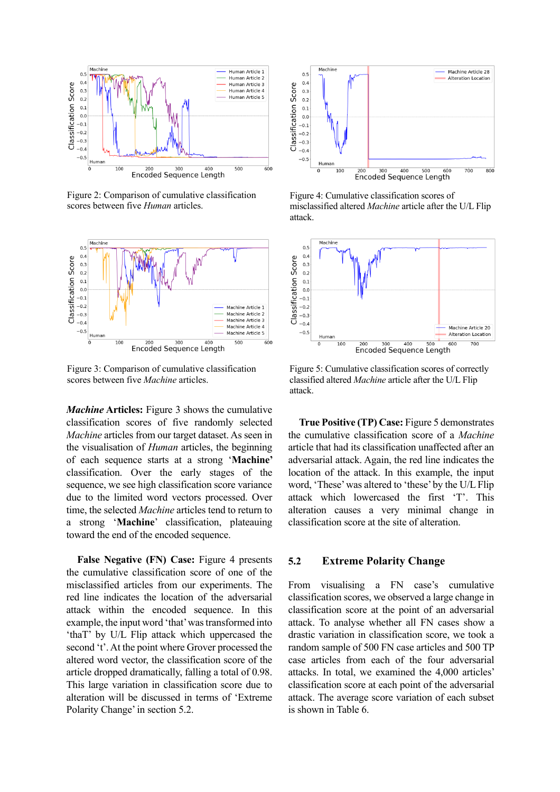

Figure 2: Comparison of cumulative classification scores between five *Human* articles.



Figure 3: Comparison of cumulative classification scores between five *Machine* articles.

*Machine* **Articles:** Figure 3 shows the cumulative classification scores of five randomly selected *Machine* articles from our target dataset. As seen in the visualisation of *Human* articles, the beginning of each sequence starts at a strong '**Machine'**  classification. Over the early stages of the sequence, we see high classification score variance due to the limited word vectors processed. Over time, the selected *Machine* articles tend to return to a strong '**Machine**' classification, plateauing toward the end of the encoded sequence.

**False Negative (FN) Case:** Figure 4 presents the cumulative classification score of one of the misclassified articles from our experiments. The red line indicates the location of the adversarial attack within the encoded sequence. In this example, the input word 'that' was transformed into 'thaT' by U/L Flip attack which uppercased the second 't'. At the point where Grover processed the altered word vector, the classification score of the article dropped dramatically, falling a total of 0.98. This large variation in classification score due to alteration will be discussed in terms of 'Extreme Polarity Change' in section 5.2.



Figure 4: Cumulative classification scores of misclassified altered *Machine* article after the U/L Flip attack.



Figure 5: Cumulative classification scores of correctly classified altered *Machine* article after the U/L Flip attack.

**True Positive (TP) Case:** Figure 5 demonstrates the cumulative classification score of a *Machine* article that had its classification unaffected after an adversarial attack. Again, the red line indicates the location of the attack. In this example, the input word, 'These' was altered to 'these' by the U/L Flip attack which lowercased the first 'T'. This alteration causes a very minimal change in classification score at the site of alteration.

#### **5.2 Extreme Polarity Change**

From visualising a FN case's cumulative classification scores, we observed a large change in classification score at the point of an adversarial attack. To analyse whether all FN cases show a drastic variation in classification score, we took a random sample of 500 FN case articles and 500 TP case articles from each of the four adversarial attacks. In total, we examined the 4,000 articles' classification score at each point of the adversarial attack. The average score variation of each subset is shown in Table 6.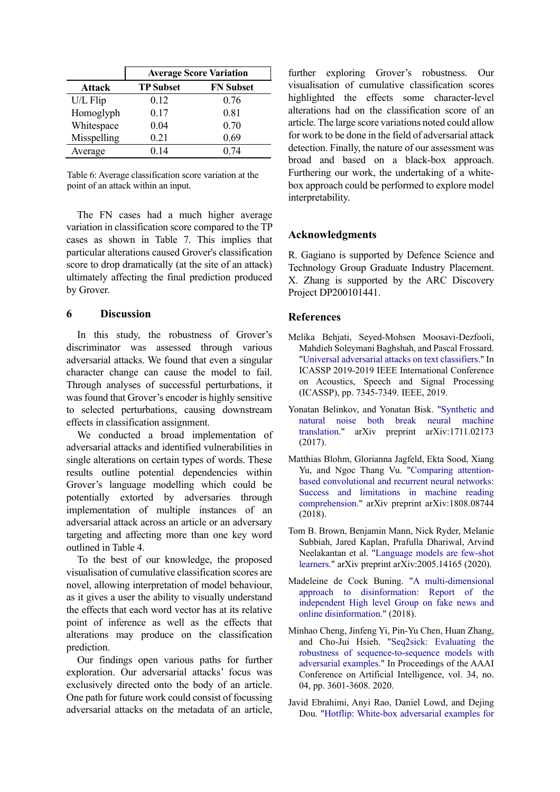|               | <b>Average Score Variation</b> |                  |  |
|---------------|--------------------------------|------------------|--|
| <b>Attack</b> | <b>TP Subset</b>               | <b>FN Subset</b> |  |
| U/L Flip      | 0.12                           | 0.76             |  |
| Homoglyph     | 0.17                           | 0.81             |  |
| Whitespace    | 0.04                           | 0.70             |  |
| Misspelling   | 0.21                           | 0.69             |  |
| Average       | 0.14                           | 0.74             |  |

Table 6: Average classification score variation at the point of an attack within an input.

The FN cases had a much higher average variation in classification score compared to the TP cases as shown in Table 7. This implies that particular alterations caused Grover's classification score to drop dramatically (at the site of an attack) ultimately affecting the final prediction produced by Grover.

### **6 Discussion**

In this study, the robustness of Grover's discriminator was assessed through various adversarial attacks. We found that even a singular character change can cause the model to fail. Through analyses of successful perturbations, it was found that Grover's encoder is highly sensitive to selected perturbations, causing downstream effects in classification assignment.

We conducted a broad implementation of adversarial attacks and identified vulnerabilities in single alterations on certain types of words. These results outline potential dependencies within Grover's language modelling which could be potentially extorted by adversaries through implementation of multiple instances of an adversarial attack across an article or an adversary targeting and affecting more than one key word outlined in Table 4.

To the best of our knowledge, the proposed visualisation of cumulative classification scores are novel, allowing interpretation of model behaviour, as it gives a user the ability to visually understand the effects that each word vector has at its relative point of inference as well as the effects that alterations may produce on the classification prediction.

Our findings open various paths for further exploration. Our adversarial attacks' focus was exclusively directed onto the body of an article. One path for future work could consist of focussing adversarial attacks on the metadata of an article, further exploring Grover's robustness. Our visualisation of cumulative classification scores highlighted the effects some character-level alterations had on the classification score of an article. The large score variations noted could allow for work to be done in the field of adversarial attack detection. Finally, the nature of our assessment was broad and based on a black-box approach. Furthering our work, the undertaking of a whitebox approach could be performed to explore model interpretability.

## **Acknowledgments**

R. Gagiano is supported by Defence Science and Technology Group Graduate Industry Placement. X. Zhang is supported by the ARC Discovery Project DP200101441.

## **References**

- Melika Behjati, Seyed-Mohsen Moosavi-Dezfooli, Mahdieh Soleymani Baghshah, and Pascal Frossard. "Universal adversarial attacks on text classifiers." In ICASSP 2019-2019 IEEE International Conference on Acoustics, Speech and Signal Processing (ICASSP), pp. 7345-7349. IEEE, 2019.
- Yonatan Belinkov, and Yonatan Bisk. "Synthetic and natural noise both break neural machine translation." arXiv preprint arXiv:1711.02173 (2017).
- Matthias Blohm, Glorianna Jagfeld, Ekta Sood, Xiang Yu, and Ngoc Thang Vu. "Comparing attentionbased convolutional and recurrent neural networks: Success and limitations in machine reading comprehension." arXiv preprint arXiv:1808.08744 (2018).
- Tom B. Brown, Benjamin Mann, Nick Ryder, Melanie Subbiah, Jared Kaplan, Prafulla Dhariwal, Arvind Neelakantan et al. "Language models are few-shot learners." arXiv preprint arXiv:2005.14165 (2020).
- Madeleine de Cock Buning. "A multi-dimensional approach to disinformation: Report of the independent High level Group on fake news and online disinformation." (2018).
- Minhao Cheng, Jinfeng Yi, Pin-Yu Chen, Huan Zhang, and Cho-Jui Hsieh. "Seq2sick: Evaluating the robustness of sequence-to-sequence models with adversarial examples." In Proceedings of the AAAI Conference on Artificial Intelligence, vol. 34, no. 04, pp. 3601-3608. 2020.
- Javid Ebrahimi, Anyi Rao, Daniel Lowd, and Dejing Dou. "Hotflip: White-box adversarial examples for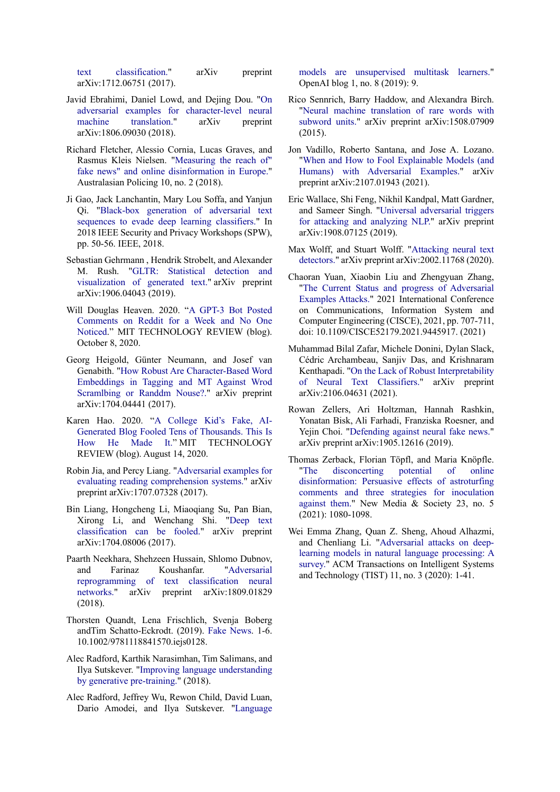text classification." arXiv preprint arXiv:1712.06751 (2017).

- Javid Ebrahimi, Daniel Lowd, and Dejing Dou. "On adversarial examples for character-level neural machine translation." arXiv preprint arXiv:1806.09030 (2018).
- Richard Fletcher, Alessio Cornia, Lucas Graves, and Rasmus Kleis Nielsen. "Measuring the reach of" fake news" and online disinformation in Europe." Australasian Policing 10, no. 2 (2018).
- Ji Gao, Jack Lanchantin, Mary Lou Soffa, and Yanjun Qi. "Black-box generation of adversarial text sequences to evade deep learning classifiers." In 2018 IEEE Security and Privacy Workshops (SPW), pp. 50-56. IEEE, 2018.
- Sebastian Gehrmann , Hendrik Strobelt, and Alexander M. Rush. "GLTR: Statistical detection and visualization of generated text." arXiv preprint arXiv:1906.04043 (2019).
- Will Douglas Heaven. 2020. "A GPT-3 Bot Posted Comments on Reddit for a Week and No One Noticed." MIT TECHNOLOGY REVIEW (blog). October 8, 2020.
- Georg Heigold, Günter Neumann, and Josef van Genabith. "How Robust Are Character-Based Word Embeddings in Tagging and MT Against Wrod Scramlbing or Randdm Nouse?." arXiv preprint arXiv:1704.04441 (2017).
- Karen Hao. 2020. "A College Kid's Fake, AI-Generated Blog Fooled Tens of Thousands. This Is How He Made It." MIT TECHNOLOGY REVIEW (blog). August 14, 2020.
- Robin Jia, and Percy Liang. "Adversarial examples for evaluating reading comprehension systems." arXiv preprint arXiv:1707.07328 (2017).
- Bin Liang, Hongcheng Li, Miaoqiang Su, Pan Bian, Xirong Li, and Wenchang Shi. "Deep text classification can be fooled." arXiv preprint arXiv:1704.08006 (2017).
- Paarth Neekhara, Shehzeen Hussain, Shlomo Dubnov, and Farinaz Koushanfar. "Adversarial reprogramming of text classification neural networks." arXiv preprint arXiv:1809.01829 (2018).
- Thorsten Quandt, Lena Frischlich, Svenja Boberg andTim Schatto-Eckrodt. (2019). Fake News. 1-6. 10.1002/9781118841570.iejs0128.
- Alec Radford, Karthik Narasimhan, Tim Salimans, and Ilya Sutskever. "Improving language understanding by generative pre-training." (2018).
- Alec Radford, Jeffrey Wu, Rewon Child, David Luan, Dario Amodei, and Ilya Sutskever. "Language

models are unsupervised multitask learners." OpenAI blog 1, no. 8 (2019): 9.

- Rico Sennrich, Barry Haddow, and Alexandra Birch. "Neural machine translation of rare words with subword units." arXiv preprint arXiv:1508.07909 (2015).
- Jon Vadillo, Roberto Santana, and Jose A. Lozano. "When and How to Fool Explainable Models (and Humans) with Adversarial Examples." arXiv preprint arXiv:2107.01943 (2021).
- Eric Wallace, Shi Feng, Nikhil Kandpal, Matt Gardner, and Sameer Singh. "Universal adversarial triggers for attacking and analyzing NLP." arXiv preprint arXiv:1908.07125 (2019).
- Max Wolff, and Stuart Wolff. "Attacking neural text detectors." arXiv preprint arXiv:2002.11768 (2020).
- Chaoran Yuan, Xiaobin Liu and Zhengyuan Zhang, "The Current Status and progress of Adversarial Examples Attacks." 2021 International Conference on Communications, Information System and Computer Engineering (CISCE), 2021, pp. 707-711, doi: 10.1109/CISCE52179.2021.9445917. (2021)
- Muhammad Bilal Zafar, Michele Donini, Dylan Slack, Cédric Archambeau, Sanjiv Das, and Krishnaram Kenthapadi. "On the Lack of Robust Interpretability of Neural Text Classifiers." arXiv preprint arXiv:2106.04631 (2021).
- Rowan Zellers, Ari Holtzman, Hannah Rashkin, Yonatan Bisk, Ali Farhadi, Franziska Roesner, and Yejin Choi. "Defending against neural fake news." arXiv preprint arXiv:1905.12616 (2019).
- Thomas Zerback, Florian Töpfl, and Maria Knöpfle. "The disconcerting potential of online disinformation: Persuasive effects of astroturfing comments and three strategies for inoculation against them." New Media & Society 23, no. 5 (2021): 1080-1098.
- Wei Emma Zhang, Quan Z. Sheng, Ahoud Alhazmi, and Chenliang Li. "Adversarial attacks on deeplearning models in natural language processing: A survey." ACM Transactions on Intelligent Systems and Technology (TIST) 11, no. 3 (2020): 1-41.